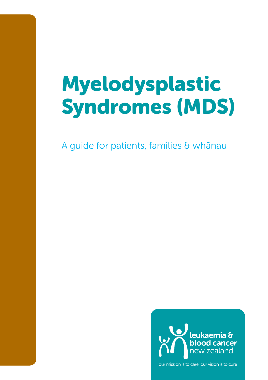# Myelodysplastic Syndromes (MDS)

A guide for patients, families & whānau



our mission is to care, our vision is to cure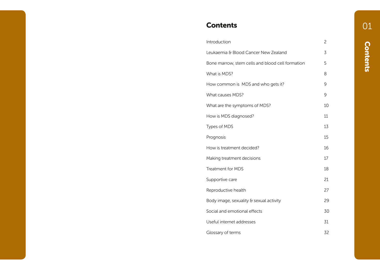### **Contents**

| Introduction                                     | 2  |
|--------------------------------------------------|----|
| Leukaemia & Blood Cancer New Zealand             | 3  |
| Bone marrow, stem cells and blood cell formation | 5  |
| What is MDS?                                     | 8  |
| How common is MDS and who gets it?               | 9  |
| What causes MDS?                                 | 9  |
| What are the symptoms of MDS?                    | 10 |
| How is MDS diagnosed?                            | 11 |
| Types of MDS                                     | 13 |
| Prognosis                                        | 15 |
| How is treatment decided?                        | 16 |
| Making treatment decisions                       | 17 |
| <b>Treatment for MDS</b>                         | 18 |
| Supportive care                                  | 21 |
| Reproductive health                              | 27 |
| Body image, sexuality & sexual activity          | 29 |
| Social and emotional effects                     | 30 |
| Useful internet addresses                        | 31 |
| Glossary of terms                                | 32 |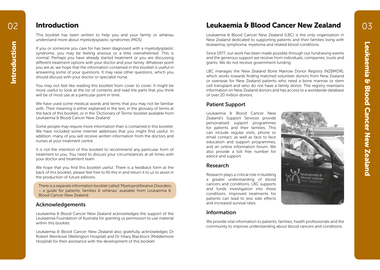### Introduction

This booklet has been written to help you and your family or whānau understand more about myelodysplastic syndromes (MDS).

If you or someone you care for has been diagnosed with a myelodysplastic syndrome, you may be feeling anxious or a little overwhelmed. This is normal. Perhaps you have already started treatment or you are discussing different treatment options with your doctor and your family. Whatever point you are at, we hope that the information contained in this booklet is useful in answering some of your questions. It may raise other questions, which you should discuss with your doctor or specialist nurse.

You may not feel like reading this booklet from cover to cover. It might be more useful to look at the list of contents and read the parts that you think will be of most use at a particular point in time.

We have used some medical words and terms that you may not be familiar with. Their meaning is either explained in the text, in the glossary of terms at the back of this booklet, or in the 'Dictionary of Terms' booklet available from Leukaemia & Blood Cancer New Zealand.

Some people may require more information than is contained in this booklet. We have included some internet addresses that you might find useful. In addition, many of you will receive written information from the doctors and nurses at your treatment centre.

It is not the intention of this booklet to recommend any particular form of treatment to you. You need to discuss your circumstances at all times with your doctor and treatment team.

We hope that you find this booklet useful. There is a feedback form at the back of this booklet, please feel free to fill this in and return it to us to assist in the production of future editions.

There is a separate information booklet called 'Myeloproliferative Disorders – a quide for patients, families  $\theta$  whānau' available from Leukaemia  $\theta$ Blood Cancer New Zealand.

#### Acknowledgements

Leukaemia & Blood Cancer New Zealand acknowledges the support of the Leukaemia Foundation of Australia for granting us permission to use material within this booklet.

Leukaemia & Blood Cancer New Zealand also gratefully acknowledges Dr Robert Weinkove (Wellington Hospital) and Dr Hilary Blacklock (Middlemore Hospital) for their assistance with the development of this booklet

### Leukaemia & Blood Cancer New Zealand

Leukaemia & Blood Cancer New Zealand (LBC) is the only organisation in New Zealand dedicated to supporting patients and their families living with leukaemia, lymphoma, myeloma and related blood conditions.

Since 1977, our work has been made possible through our fundraising events and the generous support we receive from individuals, companies, trusts and grants. We do not receive government funding.

LBC manages the New Zealand Bone Marrow Donor Registry (NZBMDR), which works towards finding matched volunteer donors from New Zealand or overseas for New Zealand patients who need a bone marrow or stem cell transplant and who do not have a family donor. The registry maintains information on New Zealand donors and has access to a worldwide database of over 20 million donors.

### Patient Support

Leukaemia & Blood Cancer New Zealand's Support Services provide personalised support programmes for patients and their families. This can include regular visits, phone or email contact, as well as face to face education and support programmes, and an online information forum. We also provide a toll free number for advice and support.

### Research

Research plays a critical role in building a greater understanding of blood cancers and conditions. LBC supports and funds investigation into these conditions. Improved treatments for patients can lead to less side effects and increased survival rates.

#### Information

We provide vital information to patients, families, health professionals and the community to improve understanding about blood cancers and conditions.

03

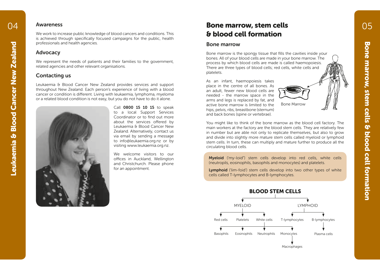#### Awareness

We work to increase public knowledge of blood cancers and conditions. This is achieved through specifically focused campaigns for the public, health professionals and health agencies.

#### Advocacy

We represent the needs of patients and their families to the government, related agencies and other relevant organisations.

#### Contacting us

Leukaemia & Blood Cancer New Zealand provides services and support throughout New Zealand. Each person's experience of living with a blood cancer or condition is different. Living with leukaemia, lymphoma, myeloma or a related blood condition is not easy, but you do not have to do it alone.



Call 0800 15 10 15 to speak to a local Support Services Coordinator or to find out more about the services offered by Leukaemia & Blood Cancer New Zealand. Alternatively, contact us via email by sending a message to info@leukaemia.org.nz or by visiting www.leukaemia.org.nz.

We welcome visitors to our offices in Auckland, Wellington and Christchurch. Please phone for an appointment.

### Bone marrow, stem cells & blood cell formation

#### Bone marrow

Bone marrow is the spongy tissue that fills the cavities inside your bones. All of your blood cells are made in your bone marrow. The process by which blood cells are made is called haemopoiesis. There are three types of blood cells; red cells, white cells and platelets.

As an infant, haemopoiesis takes place in the centre of all bones. As an adult, fewer new blood cells are needed - the marrow space in the arms and legs is replaced by fat, and active bone marrow is limited to the hips, pelvis, ribs, breastbone (sternum) and back bones (spine or vertebrae).



You might like to think of the bone marrow as the blood cell factory. The main workers at the factory are the blood stem cells. They are relatively few in number but are able not only to replicate themselves, but also to grow and divide into slightly more mature stem cells called myeloid or lymphoid stem cells. In turn, these can multiply and mature further to produce all the circulating blood cells.

Myeloid ('my-loid") stem cells develop into red cells, white cells (neutropils, eosinophils, basophils and monocytes) and platelets.

Lymphoid ('lim-foid') stem cells develop into two other types of white cells called T-lymphocytes and B-lymphocytes.



Macrophages

Bone marrow, stem cells & blood cell formation

Bone marrow, stem cells & blood cell formation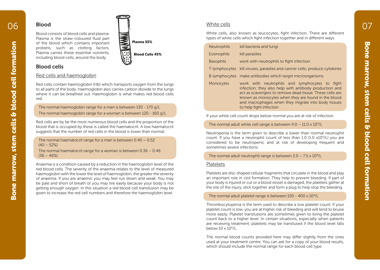## Blood Blood consists of blood cells and plasma.

Plasma is the straw-coloured fluid part of the blood which contains important proteins, such as clotting factors. Plasma carries these essential nutrients, including blood cells, around the body.

### Blood cells

#### Red cells and haemoglobin

Red cells contain haemoglobin (Hb) which transports oxygen from the lungs to all parts of the body. Haemoglobin also carries carbon dioxide to the lungs where it can be breathed out. Haemoglobin is what makes red blood cells red.

The normal haemoglobin range for a man is between 130 - 170 g/L The normal haemoglobin range for a woman is between 120 - 160 g/L

Red cells are by far the most numerous blood cells and the proportion of the blood that is occupied by these is called the haematocrit. A low haematocrit suggests that the number of red cells in the blood is lower than normal.

The normal haematocrit range for a man is between 0.40 – 0.52  $(40 - 52%)$ 

The normal haematocrit range for a woman is between 0.36 – 0.46  $(36 - 46%)$ 

Anaemia is a condition caused by a reduction in the haemoglobin level of the red blood cells. The severity of the anaemia relates to the level of measured haemoglobin with the lower the level of haemoglobin, the greater the severity of anaemia. If you are anaemic you may feel run down and weak. You may be pale and short of breath or you may tire easily because your body is not getting enough oxygen. In this situation a red blood cell transfusion may be given to increase the red cell numbers and therefore the haemoglobin level.

#### White cells

White cells, also known as leucocytes, fight infection. There are different types of white cells which fight infection together and in different ways.

| <b>Neutrophils</b> | kill bacteria and fungi                                                                                                                                                                                                                                                                                       |
|--------------------|---------------------------------------------------------------------------------------------------------------------------------------------------------------------------------------------------------------------------------------------------------------------------------------------------------------|
| Eosinophils        | kill parasites                                                                                                                                                                                                                                                                                                |
| <b>Basophils</b>   | work with neutrophils to fight infection                                                                                                                                                                                                                                                                      |
|                    | T-lymphocytes kill viruses, parasites and cancer cells; produce cytokines                                                                                                                                                                                                                                     |
|                    | B-lymphocytes make antibodies which target microorganisms                                                                                                                                                                                                                                                     |
| Monocytes          | work with neutrophils and lymphocytes to fight<br>infection; they also help with antibody production and<br>act as scavengers to remove dead tissue. These cells are<br>known as monocytes when they are found in the blood<br>and macrophages when they migrate into body tissues<br>to help fight infection |

If your white cell count drops below normal you are at risk of infection.

#### The normal adult white cell range is between  $4.0 - 11.0 \times 10^9$ /L

Neutropenia is the term given to describe a lower than normal neutrophil count. If you have a neutrophil count of less than  $1.0$  (1.0  $x10<sup>9</sup>/L$ ) you are considered to be neutropenic and at risk of developing frequent and sometimes severe infections.

#### The normal adult neutrophil range is between  $2.0 - 7.5 \times 10^9$ /L

#### Platelets

Platelets are disc-shaped cellular fragments that circulate in the blood and play an important role in clot formation. They help to prevent bleeding. If part of your body is injured or cut or a blood vessel is damaged, the platelets gather at the site of the injury, stick together and form a plug to help stop the bleeding.

#### The normal adult platelet range is between  $150 - 400 \times 10^9$ /L

Thrombocytopenia is the term used to describe a low platelet count. If your platelet count is low, you are at higher risk of bleeding and will tend to bruise more easily. Platelet transfusions are sometimes given to bring the platelet count back to a higher level. In certain situations, especially when patients are receiving treatment, platelets may be transfused if the blood level falls below 10 x 109/L.

The normal blood counts provided here may differ slightly from the ones used at your treatment centre. You can ask for a copy of your blood results, which should include the normal range for each blood cell type.

Bone marrow, stem cells & blood cell formation

Bone marrow, stem cells & blood cell formation

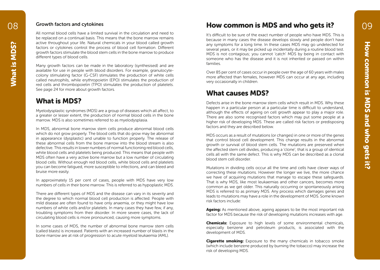#### Growth factors and cytokines

All normal blood cells have a limited survival in the circulation and need to be replaced on a continual basis. This means that the bone marrow remains active throughout your life. Natural chemicals in your blood called growth factors or cytokines control the process of blood cell formation. Different growth factors stimulate the blood stem cells in the bone marrow to produce different types of blood cells.

Many growth factors can be made in the laboratory (synthesised) and are available for use in people with blood disorders. For example, granulocytecolony stimulating factor (G-CSF) stimulates the production of white cells called neutrophils, while erythropoietin (EPO) stimulates the production of red cells and thrombopoietin (TPO) stimulates the production of platelets. See page 24 for more about growth factors.

### What is MDS?

Myelodysplastic syndromes (MDS) are a group of diseases which all affect, to a greater or lesser extent, the production of normal blood cells in the bone marrow. MDS is also sometimes referred to as myelodysplasia.

In MDS, abnormal bone marrow stem cells produce abnormal blood cells which do not grow properly. The blood cells that do grow may be abnormal in appearance (dysplastic) and unable to function properly. The release of these abnormal cells from the bone marrow into the blood stream is also defective. This results in lower numbers of normal functioning red blood cells, white blood cells and platelets being produced. This means that people with MDS often have a very active bone marrow but a low number of circulating blood cells. Without enough red blood cells, white blood cells and platelets you can become fatigued, more susceptible to infections, and can bleed and bruise more easily.

In approximately 15 per cent of cases, people with MDS have very low numbers of cells in their bone marrow. This is referred to as hypoplastic MDS.

There are different types of MDS and the disease can vary in its severity and the degree to which normal blood cell production is affected. People with mild disease are often found to have only anaemia, or they might have low numbers of white cells and/or platelets. In many cases they have few, if any, troubling symptoms from their disorder. In more severe cases, the lack of circulating blood cells is more pronounced, causing more symptoms.

In some cases of MDS, the number of abnormal bone marrow stem cells (called blasts) is increased. Patients with an increased number of blasts in the bone marrow are at risk of progression to acute myeloid leukaemia (AML).

### How common is MDS and who gets it?

It's difficult to be sure of the exact number of people who have MDS. This is because in many cases the disease develops slowly and people don't have any symptoms for a long time. In these cases MDS may go undetected for several years, or it may be picked up incidentally during a routine blood test. MDS is not contagious; you cannot 'catch' MDS by being in contact with someone who has the disease and it is not inherited or passed on within families.

Over 85 per cent of cases occur in people over the age of 60 years with males more affected than females, however MDS can occur at any age, including very occasionally in children.

### What causes MDS?

Defects arise in the bone marrow stem cells which result in MDS. Why these happen in a particular person at a particular time is difficult to understand, although the effects of ageing on cell growth appear to play a major role. There are also some recognised factors which may put some people at a higher risk of developing MDS. These are called risk factors or predisposing factors and they are described below.

MDS occurs as a result of mutations (or changes) in one or more of the genes that control blood cell development. This change results in the abnormal growth or survival of blood stem cells. The mutations are preserved when the affected stem cell divides, producing a 'clone'; that is a group of identical cells all with the same defect. This is why MDS can be described as a clonal blood stem cell disorder.

Mutations in dividing cells occur all the time and cells have clever ways of correcting these mutations. However the longer we live, the more chance we have of acquiring mutations that manage to escape these safeguards. That is why MDS, like most leukaemias and other cancers, becomes more common as we get older. This naturally occurring or spontaneously arising MDS is referred to as primary MDS. Any process which damages genes and leads to mutations may have a role in the development of MDS. Some known risk factors include:

**Ageing:** As mentioned above, ageing appears to be the most important risk factor for MDS because the risk of developing mutations increases with age.

**Chemicals:** Exposure to high levels of some environmental chemicals. especially benzene and petroleum products, is associated with the development of MDS.

**Cigarette smoking:** Exposure to the many chemicals in tobacco smoke (which include benzene produced by burning the tobacco) may increase the risk of developing MDS.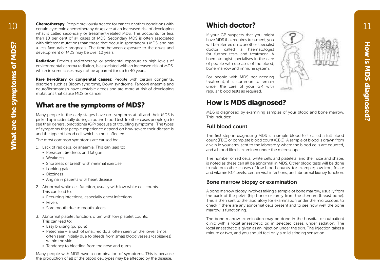**Chemotherapy:** People previously treated for cancer or other conditions with certain cytotoxic chemotherapy drugs are at an increased risk of developing what is called secondary or treatment-related MDS. This accounts for less than 10 per cent of all cases of MDS. Secondary MDS is often associated with different mutations than those that occur in spontaneous MDS, and has a less favourable prognosis. The time between exposure to the drugs and development of MDS may be over 10 years.

**Radiation:** Previous radiotherapy, or accidental exposure to high levels of environmental gamma radiation, is associated with an increased risk of MDS, which in some cases may not be apparent for up to 40 years.

Rare hereditary or congenital causes: People with certain congenital disorders such as Bloom syndrome, Down syndrome, Fanconi anaemia and neurofibromatosis have unstable genes and are more at risk of developing mutations that cause MDS or cancer.

### What are the symptoms of MDS?

Many people in the early stages have no symptoms at all and their MDS is picked up incidentally during a routine blood test. In other cases people go to see their general practitioner (GP) because of troubling symptoms. The types of symptoms that people experience depend on how severe their disease is and the type of blood cell which is most affected.

The most common symptoms are caused by:

- 1. Lack of red cells, or anaemia. This can lead to:
	- Persistent tiredness and fatigue
	- Weakness
	- Shortness of breath with minimal exercise
	- Looking pale
	- Dizziness
	- Angina in patients with heart disease
- 2. Abnormal white cell function, usually with low white cell counts. This can lead to:
	- Recurring infections, especially chest infections
	- Fevers
	- Sore mouth due to mouth ulcers
- 3. Abnormal platelet function, often with low platelet counts. This can lead to:
	- Easy bruising (purpura)
	- Petechiae a rash of small red dots, often seen on the lower limbs often seen initially due to bleeds from small blood vessels (capillaries) within the skin
	- Tendency to bleeding from the nose and gums

Many people with MDS have a combination of symptoms. This is because the production of all of the blood cell types may be affected by the disease.

### Which doctor?

If your GP suspects that you might have MDS that requires treatment, you will be referred on to another specialist doctor called a haematologist for further tests and treatment. A haematologist specialises in the care of people with diseases of the blood, bone marrow and immune system.

For people with MDS not needing treatment, it is common to remain under the care of your GP, with regular blood tests as required.

### How is MDS diagnosed?

MDS is diagnosed by examining samples of your blood and bone marrow. This includes:

### Full blood count

The first step in diagnosing MDS is a simple blood test called a full blood count (FBC) or complete blood count (CBC). A sample of blood is drawn from a vein in your arm, sent to the laboratory where the blood cells are counted, and a blood film is examined under the microscope.

The number of red cells, white cells and platelets, and their size and shape, is noted as these can all be abnormal in MDS. Other blood tests will be done to rule out other causes of low blood counts, for example; low iron, folate and vitamin B12 levels, certain viral infections, and abnormal kidney function.

### Bone marrow biopsy or examination

A bone marrow biopsy involves taking a sample of bone marrow, usually from the back of the pelvis (hip bone) or rarely from the sternum (breast bone). This is then sent to the laboratory for examination under the microscope, to check if there are any abnormal cells present and to see how well the bone marrow is functioning.

The bone marrow examination may be done in the hospital or outpatient clinic with a local anaesthetic or, in selected cases, under sedation. The local anaesthetic is given as an injection under the skin. The injection takes a minute or two, and you should feel only a mild stinging sensation.

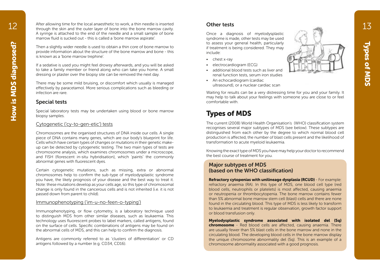After allowing time for the local anaesthetic to work, a thin needle is inserted through the skin and the outer layer of bone into the bone marrow cavity. A syringe is attached to the end of the needle and a small sample of bone marrow fluid is sucked out - this is called a 'bone marrow aspirate'.

Then a slightly wider needle is used to obtain a thin core of bone marrow to provide information about the structure of the bone marrow and bone - this is known as a 'bone marrow trephine'.

If a sedative is used you might feel drowsy afterwards, and you will be asked to take a family member or friend along who can take you home. A small dressing or plaster over the biopsy site can be removed the next day.

There may be some mild bruising, or discomfort which usually is managed effectively by paracetamol. More serious complications such as bleeding or infection are rare.

#### Special tests

Special laboratory tests may be undertaken using blood or bone marrow biopsy samples.

#### Cytogenetic ('cy-to-gen-etic') tests

Chromosomes are the organised structures of DNA inside our cells. A single piece of DNA contains many genes, which are our body's blueprint for life. Cells which have certain types of changes or mutations in their genetic makeup can be detected by cytogenetic testing. The two main types of tests are chromosome analysis, which examines chromosomes under a microscope, and FISH (florescent in-situ hybridisation), which 'paints' the commonly abnormal genes with fluorescent dyes.

Certain cytogenetic mutations, such as missing, extra or abnormal chromosomes help to confirm the sub-type of myelodysplastic syndrome you have, the likely prognosis of your disease and the best way to treat it. Note: these mutations develop as your cells age, so this type of chromosomal change is only found in the cancerous cells and is not inherited (i.e. it is not passed down from parent to child).

#### Immunophenotyping ('im-u-no-feen-o-typing')

Immunophenotyping, or flow cytometry, is a laboratory technique used to distinguish MDS from other similar diseases, such as leukaemia. This technology uses fluorescent probes to label markers, called antigens, found on the surface of cells. Specific combinations of antigens may be found on the abnormal cells of MDS, and this can help to confirm the diagnosis.

Antigens are commonly referred to as 'clusters of differentiation' or CD antigens followed by a number (e.g. CD34, CD16).

#### Other tests

Once a diagnosis of myelodysplastic syndrome is made, other tests may be used to assess your general health, particularly if treatment is being considered. They may include:

- chest x-ray
- electrocardiogram (ECG)
- additional blood tests such as liver and renal function tests, serum iron studies
- An echocardiogram (cardiac ultrasound), or a nuclear cardiac scan

Waiting for results can be a very distressing time for you and your family. It may help to talk about your feelings with someone you are close to or feel comfortable with.

### Types of MDS

The current (2008) World Health Organisation's (WHO) classification system recognises several major subtypes of MDS (see below). These subtypes are distinguished from each other by the degree to which normal blood cell production is affected, the number of blast cells present and the likelihood of transformation to acute myeloid leukaemia.

Knowing the exact type of MDS you have may help your doctor to recommend the best course of treatment for you.

#### Major subtypes of MDS (based on the WHO classification)

Refractory cytopenias with unilineage dysplasia (RCUD) - For example: refractory anaemia (RA). In this type of MDS, one blood cell type (red blood cells, neutrophils or platelets) is most affected, causing anaemia or neutropenia or thrombocytopenia. The bone marrow contains fewer than 5% abnormal bone marrow stem cell (blast) cells and there are none found in the circulating blood. This type of MDS is less likely to transform to leukaemia and treatment is regular observation, growth factor support or blood transfusion only.

Myelodysplastic syndrome associated with isolated del (5q) chromosome - Red blood cells are affected, causing anaemia. There are usually fewer than 5% blast cells in the bone marrow and none in the circulating blood. The developing blood cells in the bone marrow display the unique chromosome abnormality del (5q). This is an example of a chromosome abnormality associated with a good prognosis.

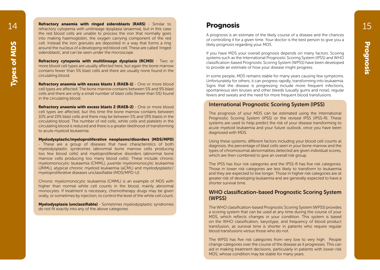Refractory anaemia with ringed sideroblasts (RARS) - Similar to refractory cytopenia with unilineage dysplasia (anaemia), but in this case the red blood cells are unable to process the iron that normally goes into making haemoglobin, the oxygen carrying component of the red cell. Instead the iron granules are deposited in a way that forms a ring around the nucleus of a developing red blood cell. These are called 'ringed sideroblasts', and can be seen under the microscope.

Refractory cytopenia with multilineage dysplasia (RCMD) - Two or more blood cell types are usually affected here, but again the bone marrow contains fewer than 5% blast cells and there are usually none found in the circulating blood.

Refractory anaemia with excess blasts 1 (RAEB-1) - One or more blood cell types are affected. The bone marrow contains between 5% and 9% blast cells and there are only a small number of blast cells (fewer than 5%) found in the circulating blood.

Refractory anaemia with excess blasts 2 (RAEB-2) - One or more blood cell types are affected, but this time the bone marrow contains between 10% and 19% blast cells and there may be between 5% and 19% blasts in the circulating blood. The number of red cells, white cells and platelets in the circulating blood is reduced and there is a greater likelihood of transforming to acute myeloid leukaemia.

#### Myelodysplastic/myeloproliferative neoplasms/disorders (MDS/MPD)

- These are a group of diseases that have characteristics of both myelodysplastic syndromes (abnormal bone marrow cells producing too few blood cells) and myeloproliferative disorders (abnormal bone marrow cells producing too many blood cells). These include chronic myelomonocytic leukaemia (CMML), juvenile myelomonocytic leukaemia (JMML), atypical chronic myeloid leukaemia (aCML) and myelodysplastic/ myeloproliferative diseases unclassifiable (MDS/MPD-U).

Chronic myelomonocytic leukaemia (CMML) is an example of MDS with higher than normal white cell counts in the blood, mainly abnormal monocytes. If treatment is necessary, chemotherapy drugs may be given orally, or sometimes by injection, to control the level of the white cell count.

Myelodysplasia (unclassifiable) - Sometimes myelodysplastic syndromes do not fit exactly into any of the above categories.

### Prognosis

A prognosis is an estimate of the likely course of a disease and the chances of controlling it for a given time. Your doctor is the best person to give you a likely prognosis regarding your MDS.

If you have MDS your overall prognosis depends on many factors. Scoring systems such as the International Prognostic Scoring System (IPSS) and WHO classification-based Prognostic Scoring System (WPSS) have been developed to provide an estimate of how your disease might progress.

In some people, MDS remains stable for many years causing few symptoms. Unfortunately for others, it can progress rapidly, transforming into leukaemia. Signs that the disease is progressing include more frequent infections, spontaneous skin bruises and other bleeds (usually gums and nose), regular fevers and sweats and the need for more frequent blood transfusions.

#### International Prognostic Scoring System (IPSS)

The prognosis of your MDS can be estimated using the International Prognostic Scoring System (IPSS) or the revised IPSS (IPSS-R). These systems are used to help predict the risk of your disease transforming to acute myeloid leukaemia and your future outlook, once you have been diagnosed with MDS.

Using these systems, different factors including your blood cell counts at diagnosis, the percentage of blast cells seen in your bone marrow and the types of chromosomal abnormalities detected are given individual scores, which are then combined to give an overall risk group.

The IPSS has four risk categories and the IPSS-R has five risk categories. Those in lower risk categories are less likely to transform to leukaemia and they are expected to live longer. Those in higher risk categories are at greater risk of developing leukaemia and are generally expected to have a shorter survival time.

#### WHO classification-based Prognostic Scoring System (WPSS)

The WHO classification-based Prognostic Scoring System (WPSS) provides a scoring system that can be used at any time during the course of your MDS, which reflects changes in your condition. This system is based on the WHO classification, karyotype, and frequency of blood product transfusion, as survival time is shorter in patients who require regular blood transfusions versus those who do not.

The WPSS has five risk categories from very low to very high. People change categories over the course of the disease as it progresses. This can aid in making treatment decisions, particularly in patients with lower-risk MDS, whose condition may be stable for many years.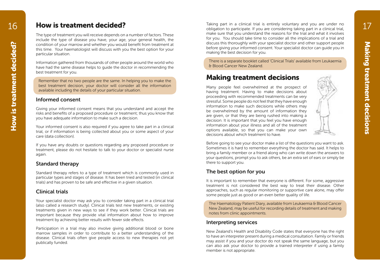How is treatment decided?

How is treatment decided?

16 How is treatment decided?

The type of treatment you will receive depends on a number of factors. These include the type of disease you have, your age, your general health, the condition of your marrow and whether you would benefit from treatment at this time. Your haematologist will discuss with you the best option for your particular situation.

Information gathered from thousands of other people around the world who have had the same disease helps to guide the doctor in recommending the best treatment for you.

Remember that no two people are the same. In helping you to make the best treatment decision, your doctor will consider all the information available including the details of your particular situation.

#### Informed consent

Giving your informed consent means that you understand and accept the risks and benefits of a proposed procedure or treatment; thus you know that you have adequate information to make such a decision.

Your informed consent is also required if you agree to take part in a clinical trial, or if information is being collected about you or some aspect of your care (data collection).

If you have any doubts or questions regarding any proposed procedure or treatment, please do not hesitate to talk to your doctor or specialist nurse again.

#### Standard therapy

Standard therapy refers to a type of treatment which is commonly used in particular types and stages of disease. It has been tried and tested (in clinical trials) and has proven to be safe and effective in a given situation.

#### Clinical trials

Your specialist doctor may ask you to consider taking part in a clinical trial (also called a research study). Clinical trials test new treatments, or existing treatments given in new ways to see if they work better. Clinical trials are important because they provide vital information about how to improve treatment by achieving better results with fewer side effects.

Participation in a trial may also involve giving additional blood or bone marrow samples in order to contribute to a better understanding of the disease. Clinical trials often give people access to new therapies not yet publically funded.

Taking part in a clinical trial is entirely voluntary and you are under no obligation to participate. If you are considering taking part in a clinical trial, make sure that you understand the reasons for the trial and what it involves for you. You should take time to consider all the implications of a trial and discuss this thoroughly with your specialist doctor and other support people before giving your informed consent. Your specialist doctor can guide you in making the best decision for you.

There is a separate booklet called 'Clinical Trials' available from Leukaemia & Blood Cancer New Zealand.

### Making treatment decisions

Many people feel overwhelmed at the prospect of having treatment. Having to make decisions about proceeding with recommended treatments can be very stressful. Some people do not feel that they have enough information to make such decisions while others may be overwhelmed by the amount of information they are given, or that they are being rushed into making a decision. It is important that you feel you have enough information about your illness and all of the treatment options available, so that you can make your own decisions about which treatment to have.



Before going to see your doctor make a list of the questions you want to ask. Sometimes it is hard to remember everything the doctor has said. It helps to bring a family member or a friend along who can write down the answers to your questions, prompt you to ask others, be an extra set of ears or simply be there to support you.

### The best option for you

It is important to remember that everyone is different. For some, aggressive treatment is not considered the best way to treat their disease. Other approaches, such as regular monitoring or supportive care alone, may offer some people just as good or an even better quality of life.

The Haematology Patient Diary, available from Leukaemia & Blood Cancer New Zealand, may be useful for recording details of treatment and making notes from clinic appointments.

#### Interpreting services

New Zealand's Health and Disability Code states that everyone has the right to have an interpreter present during a medical consultation. Family or friends may assist if you and your doctor do not speak the same language, but you can also ask your doctor to provide a trained interpreter if using a family member is not appropriate.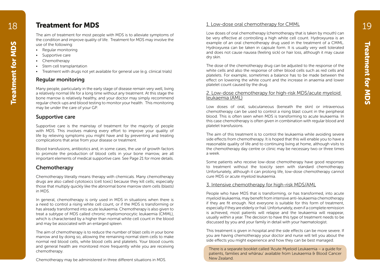### Treatment for MDS

The aim of treatment for most people with MDS is to alleviate symptoms of the condition and improve quality of life. Treatment for MDS may involve the use of the following:

- Regular monitoring
- Supportive care
- Chemotherapy
- Stem cell transplantation
- Treatment with drugs not yet available for general use (e.g. clinical trials)

#### Regular monitoring

Many people, particularly in the early stage of disease remain very well, living a relatively normal life for a long time without any treatment. At this stage the bone marrow is relatively healthy, and your doctor may simply recommend regular check-ups and blood testing to monitor your health. This monitoring may be under the care of your GP.

#### Supportive care

Supportive care is the mainstay of treatment for the majority of people with MDS. This involves making every effort to improve your quality of life by relieving symptoms you might have and by preventing and treating complications that arise from your disease or treatment.

Blood transfusions, antibiotics and, in some cases, the use of growth factors to promote the production of blood cells in your bone marrow, are all important elements of medical supportive care. See Page 21 for more details.

### **Chemotherapy**

Chemotherapy literally means therapy with chemicals. Many chemotherapy drugs are also called cytotoxics (cell toxic) because they kill cells; especially those that multiply quickly like the abnormal bone marrow stem cells (blasts) in MDS.

In general, chemotherapy is only used in MDS in situations when there is a need to control a rising white cell count, or if the MDS is transforming or has already transformed into acute leukaemia. Chemotherapy is also given to treat a subtype of MDS called chronic myelomonocytic leukaemia (CMML), which is characterised by a higher than normal white cell count in the blood and may be associated with an enlarged spleen.

The aim of chemotherapy is to reduce the number of blast cells in your bone marrow and by doing so, allowing the remaining normal stem cells to make normal red blood cells, white blood cells and platelets. Your blood counts and general health are monitored more frequently while you are receiving chemotherapy.

Chemotherapy may be administered in three different situations in MDS.

#### 1. Low-dose oral chemotherapy for CMML

Low doses of oral chemotherapy (chemotherapy that is taken by mouth) can be very effective at controlling a high white cell count. Hydroxyurea is an example of an oral chemotherapy drug used in the treatment of a CMML. Hydroxyurea can be taken in capsule form. It is usually very well tolerated and does not cause nausea (feeling sick) or hair loss, although it may cause dry skin.

The dose of the chemotherapy drug can be adjusted to the response of the white cells and also the response of other blood cells such as red cells and platelets. For example, sometimes a balance has to be made between the effect on lowering the white count and the increase in anaemia and lower platelet count caused by the drug.

#### 2. Low-dose chemotherapy for high-risk MDS/acute myeloid leukaemia (AML)

Low doses of oral, subcutaneous (beneath the skin) or intravenous chemotherapy can be used to control a rising blast count in the peripheral blood. This is often seen when MDS is transforming to acute leukaemia. In this case chemotherapy is often given in combination with regular blood and platelet transfusions.

The aim of this treatment is to control the leukaemia while avoiding severe side effects from chemotherapy. It is hoped that this will enable you to have a reasonable quality of life and to continuing living at home, although visits to the chemotherapy day centre or clinic may be necessary two or three times a week.

Some patients who receive low-dose chemotherapy have good responses to treatment without the toxicity seen with standard chemotherapy. Unfortunately, although it can prolong life, low-dose chemotherapy cannot cure MDS or acute myeloid leukaemia.

#### 3. Intensive chemotherapy for high-risk MDS/AML

People who have MDS that is transforming, or has transformed, into acute myeloid leukaemia, may benefit from intensive anti-leukaemia chemotherapy if they are fit enough. Not everyone is suitable for this form of treatment, especially if they are elderly or frail. Unfortunately, even if a complete remission is achieved, most patients will relapse and the leukaemia will reappear, usually within a year. The decision to have this type of treatment needs to be discussed by you and your family in detail with your haematologist.

This treatment is given in hospital and the side effects can be more severe. If you are having chemotherapy your doctor and nurse will tell you about the side effects you might experience and how they can be best managed.

There is a separate booklet called 'Acute Myeloid Leukaemia – a guide for patients, families and whānau' available from Leukaemia & Blood Cancer New Zealand.

19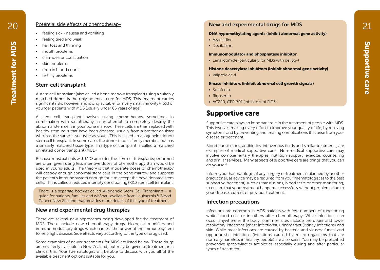#### Potential side effects of chemotherapy

- feeling sick nausea and vomiting
- feeling tired and weak
- hair loss and thinning
- mouth problems
- diarrhoea or constipation
- skin problems
- drop in blood counts
- fertility problems

#### Stem cell transplant

Supportive care Treatment (Supportive care Treatment for Contribution of the Contribution of the Contribution of the Contribution of the Contribution of the Contribution of the Contribution of the Contribution of the Contr A stem cell transplant (also called a bone marrow transplant) using a suitably matched donor, is the only potential cure for MDS. This treatment carries significant risks however and is only suitable for a very small minority (<5%) of younger patients with MDS (usually under 65 years of age).

A stem cell transplant involves giving chemotherapy, sometimes in combination with radiotherapy, in an attempt to completely destroy the abnormal stem cells in your bone marrow. These cells are then replaced with healthy stem cells that have been donated, usually from a brother or sister who has the same tissue type as yours. This is called an allogeneic (donor) stem cell transplant. In some cases the donor is not a family member, but has a similarly matched tissue type. This type of transplant is called a matched unrelated donor transplant (MUD).

Because most patients with MDS are older, the stem cell transplants performed are often given using less intensive doses of chemotherapy than would be used in young adults. The theory is that moderate doses of chemotherapy will destroy enough abnormal stem cells in the bone marrow and suppress the patient's immune system enough for it to accept the new, donated stem cells. This is called a reduced intensity conditioning (RIC) stem cell transplant.

There is a separate booklet called 'Allogeneic Stem Cell Transplants – a guide for patients, families and whānau' available from Leukaemia & Blood Cancer New Zealand that provides more details of this type of treatment.

#### New and experimental drug therapies

There are several new approaches being developed for the treatment of MDS. These include new chemotherapy drugs, biological modifiers and immunomodulatory drugs which harness the power of the immune system to help fight disease. Side effects vary according to the type of drug used.

Some examples of newer treatments for MDS are listed below. These drugs are not freely available in New Zealand, but may be given as treatment in a clinical trial. Your haematologist will be able to discuss with you all of the available treatment options suitable for you.

### 20 **21** Potential side effects of chemotherapy **1998 CO New and experimental drugs for MDS** 21

#### DNA hypomethylating agents (inhibit abnormal gene activity)

- Azacitidine
- Decitabine

#### Immunomodulator and phosphatase inhibitor

• Lenalidomide (particularly for MDS with del 5q-)

#### Histone deacetylase inhibitors (inhibit abnormal gene activity)

• Valproic acid

#### Kinase inhibitors (inhibit abnormal cell growth signals)

- Sorafenib
- Rigosertib
- AC220, CEP-701 (inhibitors of FLT3)

### Supportive care

Supportive care plays an important role in the treatment of people with MDS. This involves making every effort to improve your quality of life, by relieving symptoms and by preventing and treating complications that arise from your disease or treatment.

Blood transfusions, antibiotics, intravenous fluids and similar treatments, are examples of medical supportive care. Non-medical supportive care may involve complementary therapies, nutrition support, exercise, counselling and similar services. Many aspects of supportive care are things that you can do yourself.

Inform your haematologist if any surgery or treatment is planned by another practitioner, as advice may be required from your haematologist as to the best supportive treatment, such as transfusions, blood tests or other monitoring, to ensure that your treatment happens successfully without problems due to your disease, current or previous treatment.

#### Infection precautions

Infections are common in MDS patients with low numbers of functioning white blood cells or in others after chemotherapy. While infections can occur anywhere in the body; common sites include the upper and lower respiratory infections (chest infections), urinary tract (kidney infections) and skin. While most infections are caused by bacteria and viruses; fungal and opportunistic infections (infections caused by micro-organisms that are normally harmless in healthy people) are also seen. You may be prescribed preventive (prophylactic) antibiotics especially during and after particular types of treatment.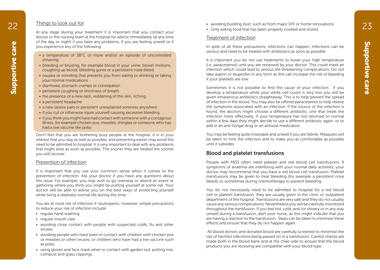#### Things to look out for

At any stage during your treatment it is important that you contact your doctor or the nursing team at the hospital for advice immediately (at any time of the day or night) if you have any problems, if you are feeling unwell or if you experience any of the following:

- a temperature of 38°C or more and/or an episode of uncontrolled shivering
- bleeding or bruising, for example blood in your urine, bowel motions, coughing up blood, bleeding gums or a persistent nose bleed
- nausea or vomiting that prevents you from eating or drinking or taking your normal medications
- diarrhoea, stomach cramps or constipation
- persistent coughing or shortness of breath
- the presence of a new rash, reddening of the skin, itching
- a persistent headache
- a new severe pain or persistent unexplained soreness anywhere
- if you cut or otherwise injure yourself causing excessive bleeding
- if you think you might have had contact with someone with a contagious illness, for example chicken pox, measles, shingles or someone who has had a live vaccine like polio

Don't feel that you are bothering busy people at the hospital. It is in your interest that you stay as well as possible, and presenting earlier may avoid the need to be admitted to hospital. It is very important to deal with any problems that might arise as soon as possible. The sooner they are treated the sooner you will recover.

#### Prevention of infection

It is important that you use your common sense when it comes to the prevention of infection. Ask your doctor if you have any questions about this issue. For example, you may wish to go overseas or attend an event or gathering where you think you might be putting yourself at some risk. Your doctor will be able to advise you on the best ways of protecting yourself while living a relatively normal life during this time.

You are at most risk of infection if neutropenic, however, simple precautions to reduce your risk of infection include:

- regular hand washing
- regular mouth care
- avoiding close contact with people with suspected colds, flu and other viruses
- avoiding people who have been in contact with children with chicken pox or measles or other viruses, or children who have had a live vaccine such as polio
- using gloves and face mask when in contact with garden soil, potting mix, compost and grass clippings
- 22 19 Inings to look out for the state of the state of the state of the state of the state of the state of the state of the state of the state of the state of the state of the state of the state of the state of the state o
	- Only eating food that has been properly cooked and stored

#### Treatment of infection

In spite of all these precautions, infections can happen. Infections can be serious and need to be treated with antibiotics as soon as possible.

Support a temperature of 38°C or more any of the following:<br>
Super support and produced in the collection of the following:<br>
Super preference any of the following:<br>
Super produced in the collection with a company of the fo It is important you do not use treatments to lower your high temperature (i.e. paracetamol) until you are reviewed by your doctor. This could mask an infection which could lead to serious life threatening complications. Do not take aspirin or ibuprofen in any form as this can increase the risk of bleeding if your platelets are low.

Sometimes it is not possible to find the cause of your infection. If you develop a temperature while your white cell count is very low you will be given intravenous antibiotics straightaway. This is to help prevent the spread of infection in the blood. You may also be offered paracetamol to help relieve the symptoms associated with an infection. If the source of the infection is found, the doctors might choose a different antibiotic, one that treats the infection more effectively. If your temperature has not returned to normal within a few days they might decide to use a different antibiotic again, or to add in an anti-fungal drug or an antiviral medication.

You may be feeling quite miserable and unwell if you are febrile. Measures will be taken to limit the infection and to make you as comfortable as possible until it subsides.

#### Blood and platelet transfusions

People with MDS often need platelet and red blood cell transfusions. If symptoms of anaemia are interfering with your normal daily activities, your doctor may recommend that you have a red blood cell transfusion. Platelet transfusions may be given to treat bleeding (for example a persistent nose bleed), or sometimes during chemotherapy to prevent bleeding.

You do not necessarily need to be admitted to hospital for a red blood cell or platelet transfusion, they are usually given in the clinic or outpatient department of the hospital. Transfusions are very safe and they do not usually cause any serious complications. Nevertheless you will be carefully monitored throughout the transfusion. If you feel hot, cold, and /or shivery or in any way unwell during a transfusion, alert your nurse, as this might indicate that you are having a reaction to the transfusion. Steps can be taken to minimise these effects and ensure that they do not happen again.

 All blood donors and donated blood are carefully screened to minimise the risk of harmful infections being passed on in a transfusion. Careful checks are made both in the blood bank and at the chair-side to ensure that the blood products you are receiving are compatible with your blood type.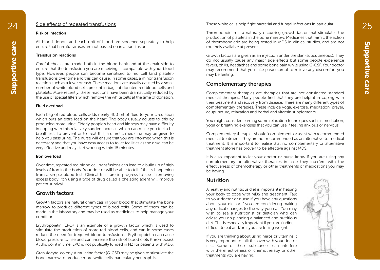#### Side effects of repeated transfusions

#### Risk of infection

All blood donors and each unit of blood are screened separately to help ensure that harmful viruses are not passed on in a transfusion.

#### Transfusion reactions

Careful checks are made both in the blood bank and at the chair-side to ensure that the transfusion you are receiving is compatible with your blood type. However, people can become sensitised to red cell (and platelet) transfusions over time and this can cause, in some cases, a minor transfusion reaction such as a fever or rash. These reactions are usually caused by a small number of white blood cells present in bags of donated red blood cells and platelets. More recently, these reactions have been dramatically reduced by the use of special filters which remove the white cells at the time of donation.

#### Fluid overload

Each bag of red blood cells adds nearly 400 ml of fluid to your circulation which puts an extra load on the heart. The body usually adjusts to this by producing more urine. Elderly people's heart and kidneys may have difficulty in coping with this relatively sudden increase which can make you feel a bit breathless. To prevent or to treat this, a diuretic medicine may be given to help you pass urine. The nurse will ensure that you are informed when this is necessary and that you have easy access to toilet facilities as the drug can be very effective and may start working within 15 minutes.

#### Iron overload

Over time, repeated red blood cell transfusions can lead to a build up of high levels of iron in the body. Your doctor will be able to tell if this is happening from a simple blood test. Clinical trials are in progress to see if removing excess body iron using a type of drug called a chelating agent will improve patient survival.

#### Growth factors

Growth factors are natural chemicals in your blood that stimulate the bone marrow to produce different types of blood cells. Some of them can be made in the laboratory and may be used as medicines to help manage your condition.

Erythropoietin (EPO) is an example of a growth factor which is used to stimulate the production of more red blood cells, and can in some cases reduce the need for frequent blood transfusions. Erythropoietin can cause blood pressure to rise and can increase the risk of blood clots (thrombosis). At this point in time, EPO is not publically funded in NZ for patients with MDS.

Granulocyte-colony stimulating factor (G-CSF) may be given to stimulate the bone marrow to produce more white cells, particularly neutrophils.

24 Side effects of repeated transfusions and the state of these white cells help fight bacterial and fungal infections in particular.

Thrombopoietin is a naturally-occurring growth factor that stimulates the production of platelets in the bone marrow. Medicines that mimic the action of thrombopoietin are being tested in MDS in clinical studies, and are not routinely available at present.

Growth factors are given as an injection under the skin (subcutaneous). They do not usually cause any major side effects but some people experience fevers, chills, headaches and some bone pain while using G-CSF. Your doctor may recommend that you take paracetamol to relieve any discomfort you may be feeling.

#### Complementary therapies

Complementary therapies are therapies that are not considered standard medical therapies. Many people find that they are helpful in coping with their treatment and recovery from disease. There are many different types of complementary therapies. These include yoga, exercise, meditation, prayer, acupuncture, relaxation and herbal and vitamin supplements.

You might consider learning some relaxation techniques such as meditation, yoga or breathing exercises that you can use if feeling anxious or nervous.

Complementary therapies should 'complement' or assist with recommended medical treatment. They are not recommended as an alternative to medical treatment. It is important to realise that no complementary or alternative treatment alone has proven to be effective against MDS.

It is also important to let your doctor or nurse know if you are using any complementary or alternative therapies in case they interfere with the effectiveness of chemotherapy or other treatments or medications you may be having.

#### Nutrition

A healthy and nutritious diet is important in helping your body to cope with MDS and treatment. Talk to your doctor or nurse if you have any questions about your diet or if you are considering making any radical changes to the way you eat. You may wish to see a nutritionist or dietician who can advise you on planning a balanced and nutritious diet. This is especially important if you are finding it difficult to eat and/or if you are losing weight.

If you are thinking about using herbs or vitamins it is very important to talk this over with your doctor first. Some of these substances can interfere with the effectiveness of chemotherapy or other treatments you are having.

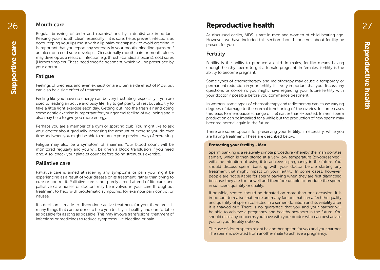#### Mouth care

Regular brushing of teeth and examinations by a dentist are important. Keeping your mouth clean, especially if it is sore, helps prevent infection, as does keeping your lips moist with a lip balm or chapstick to avoid cracking. It is important that you report any soreness in your mouth, bleeding gums or if an ulcer or a cold sore develops. Occasionally mouth pain or mouth ulcers may develop as a result of infection e.g. thrush (Candida albicans), cold sores (Herpes simplex). These need specific treatment, which will be prescribed by your doctor.

#### **Fatique**

Feelings of tiredness and even exhaustion are often a side effect of MDS, but can also be a side effect of treatment.

Feeling like you have no energy can be very frustrating, especially if you are used to leading an active and busy life. Try to get plenty of rest but also try to take a little light exercise each day. Getting out into the fresh air and doing some gentle exercise is important for your general feeling of wellbeing and it also may help to give you more energy.

Perhaps you are a member of a gym or sporting club. You might like to ask your doctor about gradually increasing the amount of exercise you do over time and when you might be able to return to your previous way of exercising.

Fatigue may also be a symptom of anaemia. Your blood count will be monitored regularly and you will be given a blood transfusion if you need one. Also, check your platelet count before doing strenuous exercise.

#### Palliative care

Palliative care is aimed at relieving any symptoms or pain you might be experiencing as a result of your disease or its treatment, rather than trying to cure or control it. Palliative care is not purely aimed at end of life care, and palliative care nurses or doctors may be involved in your care throughout treatment to help with problematic symptoms, for example pain control or nausea.

If a decision is made to discontinue active treatment for you, there are still many things that can be done to help you to stay as healthy and comfortable as possible for as long as possible. This may involve transfusions, treatment of infections or medicines to reduce symptoms like bleeding or pain.

## 26 27 Mouth care **27**

As discussed earlier, MDS is rare in men and women of child-bearing age. However, we have included this section should concerns about fertility be present for you.

#### Fertility

Fertility is the ability to produce a child. In males, fertility means having enough healthy sperm to get a female pregnant. In females, fertility is the ability to become pregnant.

Some types of chemotherapy and radiotherapy may cause a temporary or permanent reduction in your fertility. It is very important that you discuss any questions or concerns you might have regarding your future fertility with your doctor if possible before you commence treatment.

In women, some types of chemotherapy and radiotherapy can cause varying degrees of damage to the normal functioning of the ovaries. In some cases this leads to menopause (change of life) earlier than expected. In men sperm production can be impaired for a while but the production of new sperm may become normal again in the future.

There are some options for preserving your fertility, if necessary, while you are having treatment. These are described below.

#### Protecting your fertility - Men

Sperm banking is a relatively simple procedure whereby the man donates semen, which is then stored at a very low temperature (cryopreserved), with the intention of using it to achieve a pregnancy in the future. You should discuss sperm banking with your doctor before starting any treatment that might impact on your fertility. In some cases, however, people are not suitable for sperm banking when they are first diagnosed because they are too unwell and therefore unable to produce the sperm in sufficient quantity or quality.

If possible, semen should be donated on more than one occasion. It is important to realise that there are many factors that can affect the quality and quantity of sperm collected in a semen donation and its viability after it is thawed out. There is no guarantee that you and your partner will be able to achieve a pregnancy and healthy newborn in the future. You should raise any concerns you have with your doctor who can best advise you on your fertility options.

The use of donor sperm might be another option for you and your partner. The sperm is donated from another male to achieve a pregnancy.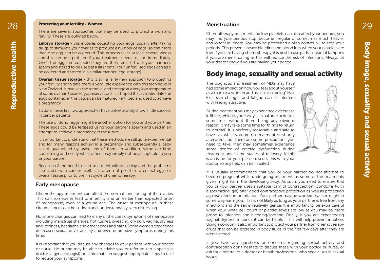#### 28 Protecting your fertility - Women Menstruation Menstruation 29 Protecting your fertility - Women

There are several approaches that may be used to protect a woman's fertility. These are outlined below.

**Embryo storage** - this involves collecting your eggs, usually after taking drugs to stimulate your ovaries to produce a number of eggs, so that more than one egg can be collected. This process takes at least several weeks and this can be a problem if your treatment needs to start immediately. Once the eggs are collected they are then fertilised with your partner's sperm and stored to be used at a later date. Your unfertilised eggs can also be collected and stored in a similar manner (egg storage).

**Ovarian tissue storage** - this is still a fairly new approach to protecting your fertility and to date there is very little experience with this technique in New Zealand. It involves the removal and storage at a very low temperature of some ovarian tissue (cryopreservation). It is hoped that at a later date the eggs contained in this tissue can be matured, fertilised and used to achieve a pregnancy.

To date, these first two approaches have unfortunately shown little success in cancer patients.

The use of donor eggs might be another option for you and your partner. These eggs could be fertilised using your partner's sperm and used in an attempt to achieve a pregnancy in the future.

It is important to understand that these methods are still quite experimental and for many reasons achieving a pregnancy and subsequently a baby is not guaranteed by using any of them. In addition, some are time consuming and costly while others may simply not be acceptable to you or your partner.

Because of the need to start treatment without delay and the problems associated with cancer itself, it is often not possible to collect eggs or ovarian tissue prior to the first cycle of chemotherapy.

#### Early menopause

Chemotherapy treatment can affect the normal functioning of the ovaries. This can sometimes lead to infertility and an earlier than expected onset of menopause, even at a young age. The onset of menopause in these circumstances can be sudden and, understandably, very distressing.

Hormone changes can lead to many of the classic symptoms of menopause including menstrual changes, hot flushes, sweating, dry skin, vaginal dryness and itchiness, headache and other aches and pains. Some women experience decreased sexual drive, anxiety and even depressive symptoms during this time.

It is important that you discuss any changes to your periods with your doctor or nurse. He or she may be able to advise you or refer you to a specialist doctor (a gynaecologist) or clinic that can suggest appropriate steps to take to reduce your symptoms.

#### Menstruation

Chemotherapy treatment and low platelets can also affect your periods; you may find your periods stop, become irregular or sometimes much heavier and longer in length. You may be prescribed a birth control pill to stop your periods. This prevents heavy bleeding and blood loss when your platelets are low. If you are having chemotherapy, it is best to use pads instead of tampons if you are menstruating as this will reduce the risk of infections. Always let your doctor know if you are having your period.

### Body image, sexuality and sexual activity

The diagnosis and treatment of MDS may have had some impact on how you feel about yourself as a man or a woman and as a 'sexual being'. Hair loss, skin changes and fatigue can all interfere with feeling attractive.

Body image, this melodian space that is more in the security and the security and the sexual activity and the sexual activity and the sexual activity and the sexual activity and sexual activity and sexual activity and sexu During treatment you may experience a decrease in libido, which is your body's sexual urge or desire, sometimes without there being any obvious reason. It may take some time for things to return to 'normal'. It is perfectly reasonable and safe to have sex while you are on treatment or shortly afterwards, but there are some precautions you need to take. Men may sometimes experience some degree of erectile dysfunction during treatment and in the stages of recovery. If this is an issue for you, please discuss this with your doctor so any help can be initiated.

It is usually recommended that you or your partner do not attempt to become pregnant while undergoing treatment, as some of the treatments given might harm the developing baby. As such, you need to ensure that you or your partner uses a suitable form of contraception. Condoms (with a spermicidal gel) offer good contraceptive protection as well as protection against infection or irritation. Your partner may be worried that sex might in some way harm you. This is not likely as long as your partner is free from any infections and the sex is relatively gentle. It is important to be extra careful when your white cell count or platelet levels are low as you may be more prone to infection and bleeding/spotting. Finally, if you are experiencing vaginal dryness, a lubricant can be helpful. This will help prevent irritation. Using a condom is also important to protect your partner from chemotherapy drugs that can be excreted in body fluids in the first few days after they are administered.

If you have any questions or concerns regarding sexual activity and contraception don't hesitate to discuss these with your doctor or nurse, or ask for a referral to a doctor or health professional who specialises in sexual issues.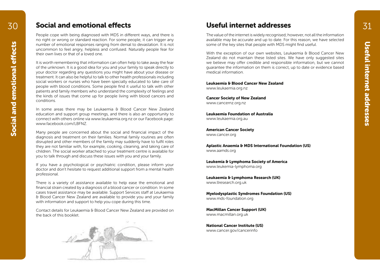### $30$  Social and emotional effects  $31$  Useful internet addresses  $31$

People cope with being diagnosed with MDS in different ways, and there is no right or wrong or standard reaction. For some people, it can trigger any number of emotional responses ranging from denial to devastation. It is not uncommon to feel angry, helpless and confused. Naturally people fear for their own lives or that of a loved one.

Useful demonstrasponsis ranging from denial to devastation. It is not some of the key sites that people with MDS might find useful.<br>
Useful internet of a longy, helpless and confused. Note that the complement of our contr It is worth remembering that information can often help to take away the fear of the unknown. It is a good idea for you and your family to speak directly to your doctor regarding any questions you might have about your disease or treatment. It can also be helpful to talk to other health professionals including social workers or nurses who have been specially educated to take care of people with blood conditions. Some people find it useful to talk with other patients and family members who understand the complexity of feelings and the kinds of issues that come up for people living with blood cancers and conditions.

In some areas there may be Leukaemia & Blood Cancer New Zealand education and support group meetings, and there is also an opportunity to connect with others online via www.leukaemia.org.nz or our Facebook page: www.facebook.com/LBFNZ.

Many people are concerned about the social and financial impact of the diagnosis and treatment on their families. Normal family routines are often disrupted and other members of the family may suddenly have to fulfil roles they are not familiar with, for example, cooking, cleaning, and taking care of children. The social worker attached to your treatment centre is available for you to talk through and discuss these issues with you and your family.

If you have a psychological or psychiatric condition, please inform your doctor and don't hesitate to request additional support from a mental health professional.

There is a variety of assistance available to help ease the emotional and financial strain created by a diagnosis of a blood cancer or condition. In some cases travel assistance may be available. Support Services staff at Leukaemia & Blood Cancer New Zealand are available to provide you and your family with information and support to help you cope during this time.

Contact details for Leukaemia & Blood Cancer New Zealand are provided on the back of this booklet.



### Useful internet addresses

The value of the internet is widely recognised; however, not all the information available may be accurate and up to date. For this reason, we have selected some of the key sites that people with MDS might find useful.

With the exception of our own websites, Leukaemia & Blood Cancer New Zealand do not maintain these listed sites. We have only suggested sites we believe may offer credible and responsible information, but we cannot guarantee the information on them is correct, up to date or evidence based medical information.

Leukaemia & Blood Cancer New Zealand www.leukaemia.org.nz

Cancer Society of New Zealand www.cancernz.org.nz

Leukaemia Foundation of Australia www.leukaemia.org.au

American Cancer Society www.cancer.org

Aplastic Anaemia & MDS International Foundation (US) www.aamds.org

Leukemia & Lymphoma Society of America www.leukemia-lymphoma.org

Leukaemia & Lymphoma Research (UK) www.llresearch.org.uk

Myelodysplastic Syndromes Foundation (US) www.mds-foundation.org

MacMillan Cancer Support (UK) www.macmillan.org.uk

National Cancer Institute (US) www.cancer.gov/cancerinfo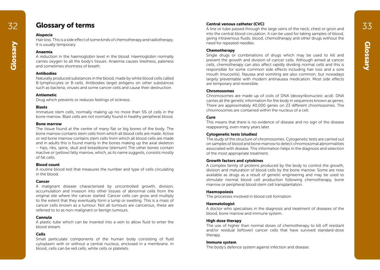### Glossary of terms

#### Alopecia

Hair loss. This is a side effect of some kinds of chemotherapy and radiotherapy. It is usually temporary.

#### Anaemia

A reduction in the haemoglobin level in the blood. Haemoglobin normally carries oxygen to all the body's tissues. Anaemia causes tiredness, paleness and sometimes shortness of breath.

#### **Antihodies**

Naturally produced substances in the blood, made by white blood cells called B-lymphocytes or B-cells. Antibodies target antigens on other substances such as bacteria, viruses and some cancer cells and cause their destruction.

#### Antiemetic

Drug which prevents or reduces feelings of sickness.

#### Blasts

Immature stem cells, normally making up no more than 5% of cells in the bone marrow. Blast cells are not normally found in healthy peripheral blood.

#### Bone marrow

The tissue found at the centre of many flat or big bones of the body. The bone marrow contains stem cells from which all blood cells are made. Active or red bone marrow contains stem cells from which all blood cells are made and in adults this is found mainly in the bones making up the axial skeleton – hips, ribs, spine, skull and breastbone (sternum) The other bones contain inactive or (yellow) fatty marrow, which, as its name suggests, consists mostly of fat cells.

#### Blood count

A routine blood test that measures the number and type of cells circulating in the blood.

#### Cancer

A malignant disease characterised by uncontrolled growth, division, accumulation and invasion into other tissues of abnormal cells from the original site where the cancer started. Cancer cells can grow and multiply to the extent that they eventually form a lump or swelling. This is a mass of cancer cells known as a tumour. Not all tumours are cancerous, these are referred to to as non-malignant or benign tumours.

#### Cannula

A plastic tube which can be inserted into a vein to allow fluid to enter the blood stream.

#### Cells

Small particulate components of the human body consisting of fluid cytoplasm with or without a central nucleus, enclosed in a membrane. In blood, cells can be red cells, white cells or platelets.

#### Central venous catheter (CVC)

32 **33**<br>A line or tube passed through the large veins of the neck, chest or groin and 33 into the central blood circulation. It can be used for taking samples of blood, giving intravenous fluids, blood, chemotherapy and other drugs without the need for repeated needles.

#### **Chemotherapy**

The is usually temporary.<br> **Anaemia**<br>
A reduction in the haemoglobin level in the blood. Haemoglobin normally<br>
A reduction in the haemoglobin level in the blood. Haemoglobin normally<br>
Computer of the growth and division of Single drugs or combinations of drugs which may be used to kill and prevent the growth and division of cancer cells. Although aimed at cancer cells, chemotherapy can also affect rapidly dividing normal cells and this is responsible for some common side effects including hair loss and a sore mouth (mucositis). Nausea and vomiting are also common, but nowadays largely preventable with modern antinausea medication. Most side effects are temporary and reversible.

#### Chromosomes

Chromosomes are made up of coils of DNA (deoxyribonucleic acid). DNA carries all the genetic information for the body in sequences known as genes. There are approximately 40,000 genes on 23 different chromosomes. The chromosomes are contained within the nucleus of a cell.

#### Cure

This means that there is no evidence of disease and no sign of the disease reappearing, even many years later.

#### Cytogenetic tests (studies)

The study of the structure of chromosomes. Cytogenetic tests are carried out on samples of blood and bone marrow to detect chromosomal abnormalities associated with disease. This information helps in the diagnosis and selection of the most appropriate treatment.

#### Growth factors and cytokines

A complex family of proteins produced by the body to control the growth, division and maturation of blood cells by the bone marrow. Some are now available as drugs as a result of genetic engineering and may be used to stimulate normal blood cell production following chemotherapy, bone marrow or peripheral blood stem cell transplantation.

#### Haemopoiesis

The processes involved in blood cell formation.

#### **Haematologist**

A doctor who specialises in the diagnosis and treatment of diseases of the blood, bone marrow and immune system.

#### High dose therapy

The use of higher than normal doses of chemotherapy to kill off resistant and/or residual (leftover) cancer cells that have survived standard-dose therapy.

#### Immune system

The body's defence system against infection and disease.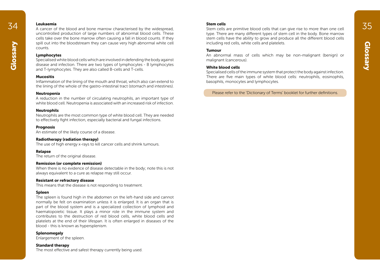#### Leukaemia

**34 Leukaemia**<br>35A A cancer of the blood and bone marrow characterised by the widespread, Stem cells are primitive blood cells that can give rise to more than one cell **35** uncontrolled production of large numbers of abnormal blood cells. These cells take over the bone marrow often causing a fall in blood counts. If they spill out into the bloodstream they can cause very high abnormal white cell counts.

#### Lymphocytes

spill out into the bloodstream they can cause very high abnormal white cell<br>counts.<br> **Counts.**<br> **Counts.**<br> **County**<br> **County**<br> **County**<br> **County**<br> **County**<br> **County**<br> **County**<br> **County**<br> **County**<br> **County**<br> **County**<br> **Coun** Specialised white blood cells which are involved in defending the body against disease and infection. There are two types of lymphocytes - B lymphocytes and T-lymphocytes. They are also called B-cells and T-cells.

#### Mucositis

Inflammation of the lining of the mouth and throat, which also can extend to the lining of the whole of the gastro-intestinal tract (stomach and intestines).

#### Neutropenia

A reduction in the number of circulating neutrophils, an important type of white blood cell. Neutropenia is associated with an increased risk of infection.

#### Neutrophils

Neutrophils are the most common type of white blood cell. They are needed to effectively fight infection, especially bacterial and fungal infections.

#### **Prognosis**

An estimate of the likely course of a disease.

#### Radiotherapy (radiation therapy)

The use of high energy x-rays to kill cancer cells and shrink tumours.

#### Relapse

The return of the original disease.

#### Remission (or complete remission)

When there is no evidence of disease detectable in the body; note this is not always equivalent to a cure as relapse may still occur.

#### Resistant or refractory disease

This means that the disease is not responding to treatment.

#### Spleen

The spleen is found high in the abdomen on the left-hand side and cannot normally be felt on examination unless it is enlarged. It is an organ that is part of the blood system and is a specialized collection of lymphoid and haematopoietic tissue. It plays a minor role in the immune system and contributes to the destruction of red blood cells, white blood cells and platelets at the end of their lifespan. It is often enlarged in diseases of the blood - this is known as hypersplenism.

**Splenomegaly** Enlargement of the spleen.

Standard therapy The most effective and safest therapy currently being used.

#### Stem cells

Stem cells are primitive blood cells that can give rise to more than one cell type. There are many different types of stem cell in the body. Bone marrow stem cells have the ability to grow and produce all the different blood cells including red cells, white cells and platelets.

#### Tumour

An abnormal mass of cells which may be non-malignant (benign) or malignant (cancerous).

#### White blood cells

Specialised cells of the immune system that protect the body against infection. There are five main types of white blood cells: neutrophils, eosinophils, basophils, monocytes and lymphocytes.

Please refer to the 'Dictionary of Terms' booklet for further definitions.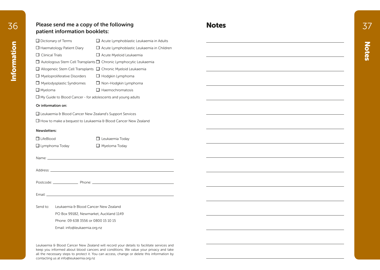### 36 Please send me a copy of the following **Notes Notes S Please send me a copy of the following S Notes** patient information booklets:

| $\Box$ Dictionary of Terms                                               | $\Box$ Acute Lymphoblastic Leukaemia in Adults                               |
|--------------------------------------------------------------------------|------------------------------------------------------------------------------|
| $\Box$ Haematology Patient Diary                                         | $\Box$ Acute Lymphoblastic Leukaemia in Children                             |
| <b>Clinical Trials</b>                                                   | $\Box$ Acute Myeloid Leukaemia                                               |
|                                                                          | $\Box$ Autologous Stem Cell Transplants $\Box$ Chronic Lymphocytic Leukaemia |
| $\Box$ Allogeneic Stem Cell Transplants $\Box$ Chronic Myeloid Leukaemia |                                                                              |
| $\Box$ Myeloproliferative Disorders                                      | $\Box$ Hodgkin Lymphoma                                                      |
| $\Box$ Myelodysplastic Syndromes                                         | $\Box$ Non-Hodgkin Lymphoma                                                  |
| $\Box$ Myeloma                                                           | Haemochromatosis                                                             |
| $\Box$ My Guide to Blood Cancer - for adolescents and young adults       |                                                                              |
| Or information on:                                                       |                                                                              |
| $\Box$ Leukaemia & Blood Cancer New Zealand's Support Services           |                                                                              |

 $\Box$  How to make a bequest to Leukaemia & Blood Cancer New Zealand

#### Newsletters:

| $\Box$ LifeBlood      | $\Box$ Leukaemia Today |
|-----------------------|------------------------|
| $\Box$ Lymphoma Today | $\Box$ Myeloma Today   |

 $\square$  Leukaemia Today

Name:

Address: **Address: Address: Address: Address: Address: Address: Address: Address: Address: Address: Address: Address: Address: Address: Address: Address: Address: Address: Address: Add** 

Postcode: Phone: Phone: Phone: Phone: Phone: Phone: Phone: Phone: Phone: Phone: Phone: Phone: Phone: Phone: Phone: Phone: Phone: Phone: Phone: Phone: Phone: Phone: Phone: Phone: Phone: Phone: Phone: Phone: Phone: Phone: Ph

Email: 2008. 2009. 2009. 2009. 2009. 2009. 2009. 2009. 2009. 2009. 2009. 2009. 2009. 2009. 2009. 2009. 2009. 2009. 2009. 2009. 2009. 2009. 2009. 2009. 2009. 2009. 2009. 2009. 2009. 2009. 2009. 2009. 2009. 2009. 2009. 2009.

Send to: Leukaemia & Blood Cancer New Zealand

PO Box 99182, Newmarket, Auckland 1149

Phone: 09 638 3556 or 0800 15 10 15

Email: info@leukaemia.org.nz

Leukaemia & Blood Cancer New Zealand will record your details to facilitate services and keep you informed about blood cancers and conditions. We value your privacy and take all the necessary steps to protect it. You can access, change or delete this information by contacting us at info@leukaemia.org.nz

| ÷      |  |
|--------|--|
|        |  |
|        |  |
| -      |  |
|        |  |
|        |  |
|        |  |
|        |  |
| d      |  |
| e<br>y |  |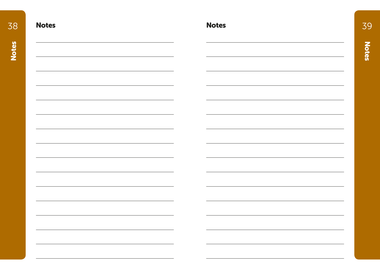| 38           | <b>Notes</b> | <b>Notes</b> | 39           |
|--------------|--------------|--------------|--------------|
| <b>Notes</b> |              |              | <b>Notes</b> |
|              |              |              |              |
|              |              |              |              |
|              |              |              |              |
|              |              |              |              |
|              |              |              |              |
|              |              |              |              |
|              |              |              |              |
|              |              |              |              |
|              |              |              |              |
|              |              |              |              |
|              |              |              |              |
|              |              |              |              |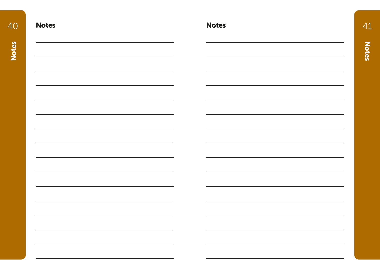| 40 | <b>Notes</b> | <b>Notes</b> |  |
|----|--------------|--------------|--|
|    |              |              |  |
|    |              |              |  |
|    |              |              |  |
|    |              |              |  |
|    |              |              |  |
|    |              |              |  |
|    |              |              |  |
|    |              |              |  |
|    |              |              |  |
|    |              |              |  |
|    |              |              |  |
|    |              |              |  |
|    |              |              |  |
|    |              |              |  |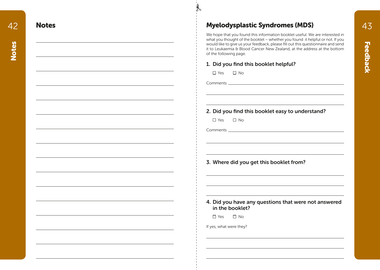## Notes **Music Syndromes** (MDS)

We hope that you found this information booklet useful. We are interested in what you thought of the booklet – whether you found it helpful or not. If you would like to give us your feedback, please fill out this questionnaire and send it to Leukaemia & Blood Cancer New Zealand, at the address at the bottom of the following page.

### 1. Did you find this booklet helpful?

 $\Box$  Yes  $\Box$  No.

Comments

 $\mathcal{F}$ 

2. Did you find this booklet easy to understand?

 $\Box$  Yes  $\Box$  No

Comments

3. Where did you get this booklet from?

4. Did you have any questions that were not answered in the booklet?

 $\Box$  Yes  $\Box$  No.

If yes, what were they?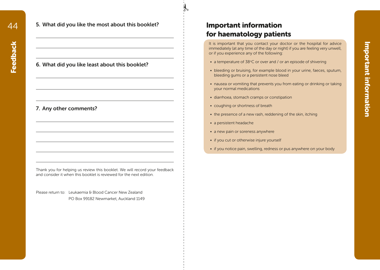Feedback

**Feedback** 

5. What did you like the most about this booklet?

#### 6. What did you like least about this booklet?

#### 7. Any other comments?

Thank you for helping us review this booklet. We will record your feedback and consider it when this booklet is reviewed for the next edition.

Please return to: Leukaemia & Blood Cancer New Zealand PO Box 99182 Newmarket, Auckland 1149

### Important information for haematology patients

 $\mathcal{F}$ 

It is important that you contact your doctor or the hospital for advice immediately (at any time of the day or night) if you are feeling very unwell, or if you experience any of the following:

- a temperature of  $38^{\circ}$ C or over and / or an episode of shivering
- bleeding or bruising, for example blood in your urine, faeces, sputum, bleeding gums or a persistent nose bleed
- nausea or vomiting that prevents you from eating or drinking or taking your normal medications
- diarrhoea, stomach cramps or constipation
- coughing or shortness of breath
- the presence of a new rash, reddening of the skin, itching
- a persistent headache
- a new pain or soreness anywhere
- if you cut or otherwise injure yourself
- if you notice pain, swelling, redness or pus anywhere on your body